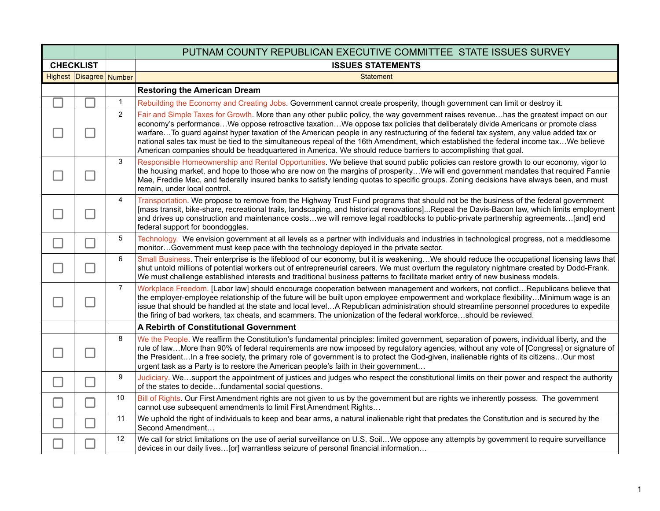|                  |                         |                | PUTNAM COUNTY REPUBLICAN EXECUTIVE COMMITTEE STATE ISSUES SURVEY                                                                                                                                                                                                                                                                                                                                                                                                                                                                                                                                                                                                      |
|------------------|-------------------------|----------------|-----------------------------------------------------------------------------------------------------------------------------------------------------------------------------------------------------------------------------------------------------------------------------------------------------------------------------------------------------------------------------------------------------------------------------------------------------------------------------------------------------------------------------------------------------------------------------------------------------------------------------------------------------------------------|
| <b>CHECKLIST</b> |                         |                | <b>ISSUES STATEMENTS</b>                                                                                                                                                                                                                                                                                                                                                                                                                                                                                                                                                                                                                                              |
|                  | Highest Disagree Number |                | <b>Statement</b>                                                                                                                                                                                                                                                                                                                                                                                                                                                                                                                                                                                                                                                      |
|                  |                         |                | <b>Restoring the American Dream</b>                                                                                                                                                                                                                                                                                                                                                                                                                                                                                                                                                                                                                                   |
|                  |                         | $\mathbf{1}$   | Rebuilding the Economy and Creating Jobs. Government cannot create prosperity, though government can limit or destroy it.                                                                                                                                                                                                                                                                                                                                                                                                                                                                                                                                             |
|                  |                         | $\overline{2}$ | Fair and Simple Taxes for Growth. More than any other public policy, the way government raises revenuehas the greatest impact on our<br>economy's performanceWe oppose retroactive taxationWe oppose tax policies that deliberately divide Americans or promote class<br>warfareTo guard against hyper taxation of the American people in any restructuring of the federal tax system, any value added tax or<br>national sales tax must be tied to the simultaneous repeal of the 16th Amendment, which established the federal income taxWe believe<br>American companies should be headquartered in America. We should reduce barriers to accomplishing that goal. |
|                  |                         | 3              | Responsible Homeownership and Rental Opportunities. We believe that sound public policies can restore growth to our economy, vigor to<br>the housing market, and hope to those who are now on the margins of prosperityWe will end government mandates that required Fannie<br>Mae, Freddie Mac, and federally insured banks to satisfy lending quotas to specific groups. Zoning decisions have always been, and must<br>remain, under local control.                                                                                                                                                                                                                |
|                  |                         | 4              | Transportation. We propose to remove from the Highway Trust Fund programs that should not be the business of the federal government<br>[mass transit, bike-share, recreational trails, landscaping, and historical renovations]Repeal the Davis-Bacon law, which limits employment<br>and drives up construction and maintenance costswe will remove legal roadblocks to public-private partnership agreements[and] end<br>federal support for boondoggles.                                                                                                                                                                                                           |
|                  | $\mathcal{L}$           | 5              | Technology. We envision government at all levels as a partner with individuals and industries in technological progress, not a meddlesome<br>monitorGovernment must keep pace with the technology deployed in the private sector.                                                                                                                                                                                                                                                                                                                                                                                                                                     |
|                  |                         | 6              | Small Business. Their enterprise is the lifeblood of our economy, but it is weakeningWe should reduce the occupational licensing laws that<br>shut untold millions of potential workers out of entrepreneurial careers. We must overturn the regulatory nightmare created by Dodd-Frank.<br>We must challenge established interests and traditional business patterns to facilitate market entry of new business models.                                                                                                                                                                                                                                              |
|                  |                         | $\overline{7}$ | Workplace Freedom. [Labor law] should encourage cooperation between management and workers, not conflictRepublicans believe that<br>the employer-employee relationship of the future will be built upon employee empowerment and workplace flexibilityMinimum wage is an<br>issue that should be handled at the state and local levelA Republican administration should streamline personnel procedures to expedite<br>the firing of bad workers, tax cheats, and scammers. The unionization of the federal workforceshould be reviewed.                                                                                                                              |
|                  |                         |                | A Rebirth of Constitutional Government                                                                                                                                                                                                                                                                                                                                                                                                                                                                                                                                                                                                                                |
|                  |                         | 8              | We the People. We reaffirm the Constitution's fundamental principles: limited government, separation of powers, individual liberty, and the<br>rule of lawMore than 90% of federal requirements are now imposed by regulatory agencies, without any vote of [Congress] or signature of<br>the PresidentIn a free society, the primary role of government is to protect the God-given, inalienable rights of its citizensOur most<br>urgent task as a Party is to restore the American people's faith in their government                                                                                                                                              |
|                  | П                       | 9              | Judiciary. Wesupport the appointment of justices and judges who respect the constitutional limits on their power and respect the authority<br>of the states to decidefundamental social questions.                                                                                                                                                                                                                                                                                                                                                                                                                                                                    |
|                  |                         | 10             | Bill of Rights. Our First Amendment rights are not given to us by the government but are rights we inherently possess. The government<br>cannot use subsequent amendments to limit First Amendment Rights                                                                                                                                                                                                                                                                                                                                                                                                                                                             |
|                  |                         | 11             | We uphold the right of individuals to keep and bear arms, a natural inalienable right that predates the Constitution and is secured by the<br>Second Amendment                                                                                                                                                                                                                                                                                                                                                                                                                                                                                                        |
|                  |                         | 12             | We call for strict limitations on the use of aerial surveillance on U.S. SoilWe oppose any attempts by government to require surveillance<br>devices in our daily lives[or] warrantless seizure of personal financial information                                                                                                                                                                                                                                                                                                                                                                                                                                     |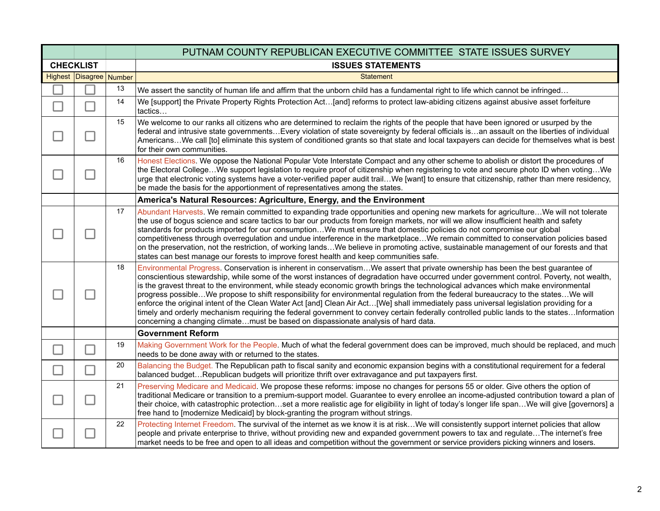|                  |                         |    | PUTNAM COUNTY REPUBLICAN EXECUTIVE COMMITTEE STATE ISSUES SURVEY                                                                                                                                                                                                                                                                                                                                                                                                                                                                                                                                                                                                                                                                                                                                                                                                                                                                      |
|------------------|-------------------------|----|---------------------------------------------------------------------------------------------------------------------------------------------------------------------------------------------------------------------------------------------------------------------------------------------------------------------------------------------------------------------------------------------------------------------------------------------------------------------------------------------------------------------------------------------------------------------------------------------------------------------------------------------------------------------------------------------------------------------------------------------------------------------------------------------------------------------------------------------------------------------------------------------------------------------------------------|
| <b>CHECKLIST</b> |                         |    | <b>ISSUES STATEMENTS</b>                                                                                                                                                                                                                                                                                                                                                                                                                                                                                                                                                                                                                                                                                                                                                                                                                                                                                                              |
|                  | Highest Disagree Number |    | <b>Statement</b>                                                                                                                                                                                                                                                                                                                                                                                                                                                                                                                                                                                                                                                                                                                                                                                                                                                                                                                      |
|                  |                         | 13 | We assert the sanctity of human life and affirm that the unborn child has a fundamental right to life which cannot be infringed                                                                                                                                                                                                                                                                                                                                                                                                                                                                                                                                                                                                                                                                                                                                                                                                       |
|                  |                         | 14 | We [support] the Private Property Rights Protection Act[and] reforms to protect law-abiding citizens against abusive asset forfeiture<br>tactics                                                                                                                                                                                                                                                                                                                                                                                                                                                                                                                                                                                                                                                                                                                                                                                      |
|                  |                         | 15 | We welcome to our ranks all citizens who are determined to reclaim the rights of the people that have been ignored or usurped by the<br>federal and intrusive state governmentsEvery violation of state sovereignty by federal officials isan assault on the liberties of individual<br>AmericansWe call [to] eliminate this system of conditioned grants so that state and local taxpayers can decide for themselves what is best<br>for their own communities.                                                                                                                                                                                                                                                                                                                                                                                                                                                                      |
|                  |                         | 16 | Honest Elections. We oppose the National Popular Vote Interstate Compact and any other scheme to abolish or distort the procedures of<br>the Electoral CollegeWe support legislation to require proof of citizenship when registering to vote and secure photo ID when votingWe<br>urge that electronic voting systems have a voter-verified paper audit trailWe [want] to ensure that citizenship, rather than mere residency,<br>be made the basis for the apportionment of representatives among the states.                                                                                                                                                                                                                                                                                                                                                                                                                       |
|                  |                         |    | America's Natural Resources: Agriculture, Energy, and the Environment                                                                                                                                                                                                                                                                                                                                                                                                                                                                                                                                                                                                                                                                                                                                                                                                                                                                 |
|                  |                         | 17 | Abundant Harvests. We remain committed to expanding trade opportunities and opening new markets for agricultureWe will not tolerate<br>the use of bogus science and scare tactics to bar our products from foreign markets, nor will we allow insufficient health and safety<br>standards for products imported for our consumptionWe must ensure that domestic policies do not compromise our global<br>competitiveness through overregulation and undue interference in the marketplaceWe remain committed to conservation policies based<br>on the preservation, not the restriction, of working landsWe believe in promoting active, sustainable management of our forests and that<br>states can best manage our forests to improve forest health and keep communities safe.                                                                                                                                                     |
|                  |                         | 18 | Environmental Progress. Conservation is inherent in conservatismWe assert that private ownership has been the best guarantee of<br>conscientious stewardship, while some of the worst instances of degradation have occurred under government control. Poverty, not wealth,<br>is the gravest threat to the environment, while steady economic growth brings the technological advances which make environmental<br>progress possibleWe propose to shift responsibility for environmental regulation from the federal bureaucracy to the statesWe will<br>enforce the original intent of the Clean Water Act [and] Clean Air Act[We] shall immediately pass universal legislation providing for a<br>timely and orderly mechanism requiring the federal government to convey certain federally controlled public lands to the statesInformation<br>concerning a changing climatemust be based on dispassionate analysis of hard data. |
|                  |                         |    | <b>Government Reform</b>                                                                                                                                                                                                                                                                                                                                                                                                                                                                                                                                                                                                                                                                                                                                                                                                                                                                                                              |
|                  |                         | 19 | Making Government Work for the People. Much of what the federal government does can be improved, much should be replaced, and much<br>needs to be done away with or returned to the states.                                                                                                                                                                                                                                                                                                                                                                                                                                                                                                                                                                                                                                                                                                                                           |
|                  | $\Box$                  | 20 | Balancing the Budget. The Republican path to fiscal sanity and economic expansion begins with a constitutional requirement for a federal<br>balanced budget Republican budgets will prioritize thrift over extravagance and put taxpayers first.                                                                                                                                                                                                                                                                                                                                                                                                                                                                                                                                                                                                                                                                                      |
|                  |                         | 21 | Preserving Medicare and Medicaid. We propose these reforms: impose no changes for persons 55 or older. Give others the option of<br>traditional Medicare or transition to a premium-support model. Guarantee to every enrollee an income-adjusted contribution toward a plan of<br>their choice, with catastrophic protectionset a more realistic age for eligibility in light of today's longer life spanWe will give [governors] a<br>free hand to [modernize Medicaid] by block-granting the program without strings.                                                                                                                                                                                                                                                                                                                                                                                                              |
|                  |                         | 22 | Protecting Internet Freedom. The survival of the internet as we know it is at riskWe will consistently support internet policies that allow<br>people and private enterprise to thrive, without providing new and expanded government powers to tax and regulateThe internet's free<br>market needs to be free and open to all ideas and competition without the government or service providers picking winners and losers.                                                                                                                                                                                                                                                                                                                                                                                                                                                                                                          |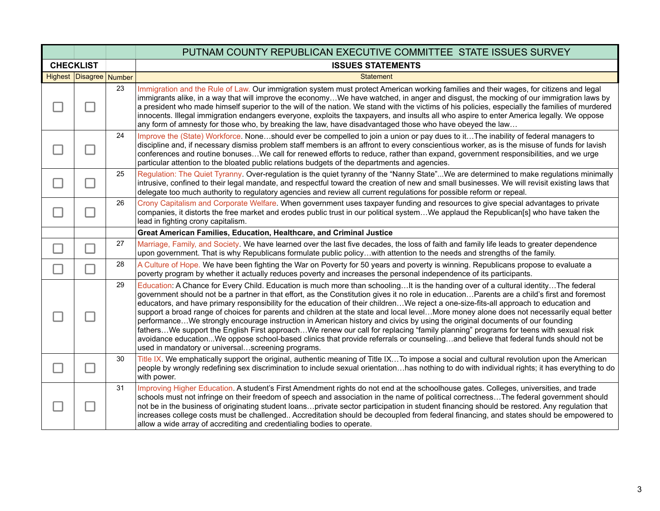|                  |                         |    | PUTNAM COUNTY REPUBLICAN EXECUTIVE COMMITTEE STATE ISSUES SURVEY                                                                                                                                                                                                                                                                                                                                                                                                                                                                                                                                                                                                                                                                                                                                                                                                                                                                                                                                                                       |
|------------------|-------------------------|----|----------------------------------------------------------------------------------------------------------------------------------------------------------------------------------------------------------------------------------------------------------------------------------------------------------------------------------------------------------------------------------------------------------------------------------------------------------------------------------------------------------------------------------------------------------------------------------------------------------------------------------------------------------------------------------------------------------------------------------------------------------------------------------------------------------------------------------------------------------------------------------------------------------------------------------------------------------------------------------------------------------------------------------------|
| <b>CHECKLIST</b> |                         |    | <b>ISSUES STATEMENTS</b>                                                                                                                                                                                                                                                                                                                                                                                                                                                                                                                                                                                                                                                                                                                                                                                                                                                                                                                                                                                                               |
|                  | Highest Disagree Number |    | <b>Statement</b>                                                                                                                                                                                                                                                                                                                                                                                                                                                                                                                                                                                                                                                                                                                                                                                                                                                                                                                                                                                                                       |
|                  |                         | 23 | Immigration and the Rule of Law. Our immigration system must protect American working families and their wages, for citizens and legal<br>immigrants alike, in a way that will improve the economyWe have watched, in anger and disgust, the mocking of our immigration laws by<br>a president who made himself superior to the will of the nation. We stand with the victims of his policies, especially the families of murdered<br>innocents. Illegal immigration endangers everyone, exploits the taxpayers, and insults all who aspire to enter America legally. We oppose<br>any form of amnesty for those who, by breaking the law, have disadvantaged those who have obeyed the law                                                                                                                                                                                                                                                                                                                                            |
|                  |                         | 24 | Improve the (State) Workforce. Noneshould ever be compelled to join a union or pay dues to itThe inability of federal managers to<br>discipline and, if necessary dismiss problem staff members is an affront to every conscientious worker, as is the misuse of funds for lavish<br>conferences and routine bonusesWe call for renewed efforts to reduce, rather than expand, government responsibilities, and we urge<br>particular attention to the bloated public relations budgets of the departments and agencies.                                                                                                                                                                                                                                                                                                                                                                                                                                                                                                               |
|                  |                         | 25 | Regulation: The Quiet Tyranny. Over-regulation is the quiet tyranny of the "Nanny State"We are determined to make regulations minimally<br>intrusive, confined to their legal mandate, and respectful toward the creation of new and small businesses. We will revisit existing laws that<br>delegate too much authority to regulatory agencies and review all current regulations for possible reform or repeal.                                                                                                                                                                                                                                                                                                                                                                                                                                                                                                                                                                                                                      |
|                  |                         | 26 | Crony Capitalism and Corporate Welfare. When government uses taxpayer funding and resources to give special advantages to private<br>companies, it distorts the free market and erodes public trust in our political systemWe applaud the Republican[s] who have taken the<br>lead in fighting crony capitalism.                                                                                                                                                                                                                                                                                                                                                                                                                                                                                                                                                                                                                                                                                                                       |
|                  |                         |    | Great American Families, Education, Healthcare, and Criminal Justice                                                                                                                                                                                                                                                                                                                                                                                                                                                                                                                                                                                                                                                                                                                                                                                                                                                                                                                                                                   |
|                  |                         | 27 | Marriage, Family, and Society. We have learned over the last five decades, the loss of faith and family life leads to greater dependence<br>upon government. That is why Republicans formulate public policywith attention to the needs and strengths of the family.                                                                                                                                                                                                                                                                                                                                                                                                                                                                                                                                                                                                                                                                                                                                                                   |
|                  |                         | 28 | A Culture of Hope. We have been fighting the War on Poverty for 50 years and poverty is winning. Republicans propose to evaluate a<br>poverty program by whether it actually reduces poverty and increases the personal independence of its participants.                                                                                                                                                                                                                                                                                                                                                                                                                                                                                                                                                                                                                                                                                                                                                                              |
|                  |                         | 29 | Education: A Chance for Every Child. Education is much more than schoolingIt is the handing over of a cultural identityThe federal<br>government should not be a partner in that effort, as the Constitution gives it no role in educationParents are a child's first and foremost<br>educators, and have primary responsibility for the education of their childrenWe reject a one-size-fits-all approach to education and<br>support a broad range of choices for parents and children at the state and local levelMore money alone does not necessarily equal better<br>performanceWe strongly encourage instruction in American history and civics by using the original documents of our founding<br>fathersWe support the English First approachWe renew our call for replacing "family planning" programs for teens with sexual risk<br>avoidance educationWe oppose school-based clinics that provide referrals or counselingand believe that federal funds should not be<br>used in mandatory or universalscreening programs. |
|                  |                         | 30 | Title IX. We emphatically support the original, authentic meaning of Title IXTo impose a social and cultural revolution upon the American<br>people by wrongly redefining sex discrimination to include sexual orientationhas nothing to do with individual rights; it has everything to do<br>with power.                                                                                                                                                                                                                                                                                                                                                                                                                                                                                                                                                                                                                                                                                                                             |
|                  |                         | 31 | Improving Higher Education. A student's First Amendment rights do not end at the schoolhouse gates. Colleges, universities, and trade<br>schools must not infringe on their freedom of speech and association in the name of political correctnessThe federal government should<br>not be in the business of originating student loansprivate sector participation in student financing should be restored. Any regulation that<br>increases college costs must be challenged Accreditation should be decoupled from federal financing, and states should be empowered to<br>allow a wide array of accrediting and credentialing bodies to operate.                                                                                                                                                                                                                                                                                                                                                                                    |